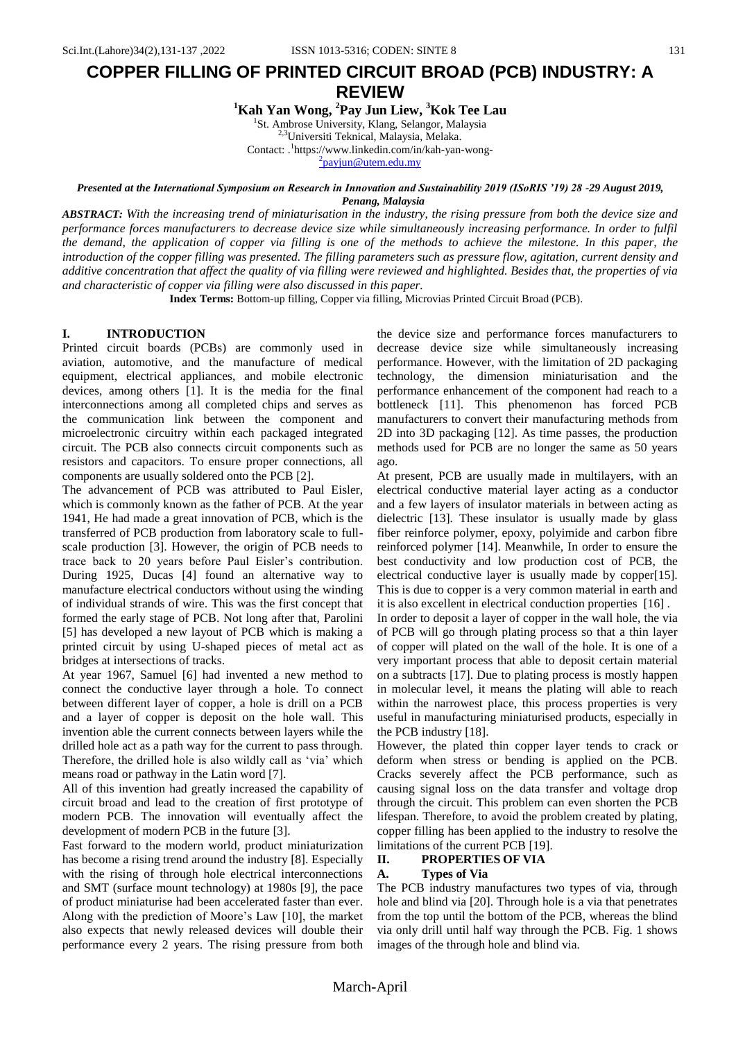# **COPPER FILLING OF PRINTED CIRCUIT BROAD (PCB) INDUSTRY: A REVIEW**

**<sup>1</sup>Kah Yan Wong, <sup>2</sup>Pay Jun Liew, <sup>3</sup>Kok Tee Lau**

<sup>1</sup>St. Ambrose University, Klang, Selangor, Malaysia

2,3Universiti Teknical, Malaysia, Melaka.

Contact: . 1 https://www.linkedin.com/in/kah-yan-wong-

<sup>2</sup> [payjun@utem.edu.my](mailto:2payjun@utem.edu.my)

# *Presented at the International Symposium on Research in Innovation and Sustainability 2019 (ISoRIS '19) 28 -29 August 2019, Penang, Malaysia*

*ABSTRACT: With the increasing trend of miniaturisation in the industry, the rising pressure from both the device size and performance forces manufacturers to decrease device size while simultaneously increasing performance. In order to fulfil the demand, the application of copper via filling is one of the methods to achieve the milestone. In this paper, the introduction of the copper filling was presented. The filling parameters such as pressure flow, agitation, current density and additive concentration that affect the quality of via filling were reviewed and highlighted. Besides that, the properties of via and characteristic of copper via filling were also discussed in this paper.*

**Index Terms:** Bottom-up filling, Copper via filling, Microvias Printed Circuit Broad (PCB).

# **I. INTRODUCTION**

Printed circuit boards (PCBs) are commonly used in aviation, automotive, and the manufacture of medical equipment, electrical appliances, and mobile electronic devices, among others [1]. It is the media for the final interconnections among all completed chips and serves as the communication link between the component and microelectronic circuitry within each packaged integrated circuit. The PCB also connects circuit components such as resistors and capacitors. To ensure proper connections, all components are usually soldered onto the PCB [2].

The advancement of PCB was attributed to Paul Eisler, which is commonly known as the father of PCB. At the year 1941, He had made a great innovation of PCB, which is the transferred of PCB production from laboratory scale to fullscale production [3]. However, the origin of PCB needs to trace back to 20 years before Paul Eisler"s contribution. During 1925, Ducas [4] found an alternative way to manufacture electrical conductors without using the winding of individual strands of wire. This was the first concept that formed the early stage of PCB. Not long after that, Parolini [5] has developed a new layout of PCB which is making a printed circuit by using U-shaped pieces of metal act as bridges at intersections of tracks.

At year 1967, Samuel [6] had invented a new method to connect the conductive layer through a hole. To connect between different layer of copper, a hole is drill on a PCB and a layer of copper is deposit on the hole wall. This invention able the current connects between layers while the drilled hole act as a path way for the current to pass through. Therefore, the drilled hole is also wildly call as 'via' which means road or pathway in the Latin word [7].

All of this invention had greatly increased the capability of circuit broad and lead to the creation of first prototype of modern PCB. The innovation will eventually affect the development of modern PCB in the future [3].

Fast forward to the modern world, product miniaturization has become a rising trend around the industry [8]. Especially with the rising of through hole electrical interconnections and SMT (surface mount technology) at 1980s [9], the pace of product miniaturise had been accelerated faster than ever. Along with the prediction of Moore's Law [10], the market also expects that newly released devices will double their performance every 2 years. The rising pressure from both the device size and performance forces manufacturers to decrease device size while simultaneously increasing performance. However, with the limitation of 2D packaging technology, the dimension miniaturisation and the performance enhancement of the component had reach to a bottleneck [11]. This phenomenon has forced PCB manufacturers to convert their manufacturing methods from 2D into 3D packaging [12]. As time passes, the production methods used for PCB are no longer the same as 50 years ago.

At present, PCB are usually made in multilayers, with an electrical conductive material layer acting as a conductor and a few layers of insulator materials in between acting as dielectric [13]. These insulator is usually made by glass fiber reinforce polymer, epoxy, polyimide and carbon fibre reinforced polymer [14]. Meanwhile, In order to ensure the best conductivity and low production cost of PCB, the electrical conductive layer is usually made by copper[15]. This is due to copper is a very common material in earth and it is also excellent in electrical conduction properties [16] .

In order to deposit a layer of copper in the wall hole, the via of PCB will go through plating process so that a thin layer of copper will plated on the wall of the hole. It is one of a very important process that able to deposit certain material on a subtracts [17]. Due to plating process is mostly happen in molecular level, it means the plating will able to reach within the narrowest place, this process properties is very useful in manufacturing miniaturised products, especially in the PCB industry [18].

However, the plated thin copper layer tends to crack or deform when stress or bending is applied on the PCB. Cracks severely affect the PCB performance, such as causing signal loss on the data transfer and voltage drop through the circuit. This problem can even shorten the PCB lifespan. Therefore, to avoid the problem created by plating, copper filling has been applied to the industry to resolve the limitations of the current PCB [19].

#### **II. PROPERTIES OF VIA**

#### **A. Types of Via**

The PCB industry manufactures two types of via, through hole and blind via [20]. Through hole is a via that penetrates from the top until the bottom of the PCB, whereas the blind via only drill until half way through the PCB. Fig. 1 shows images of the through hole and blind via.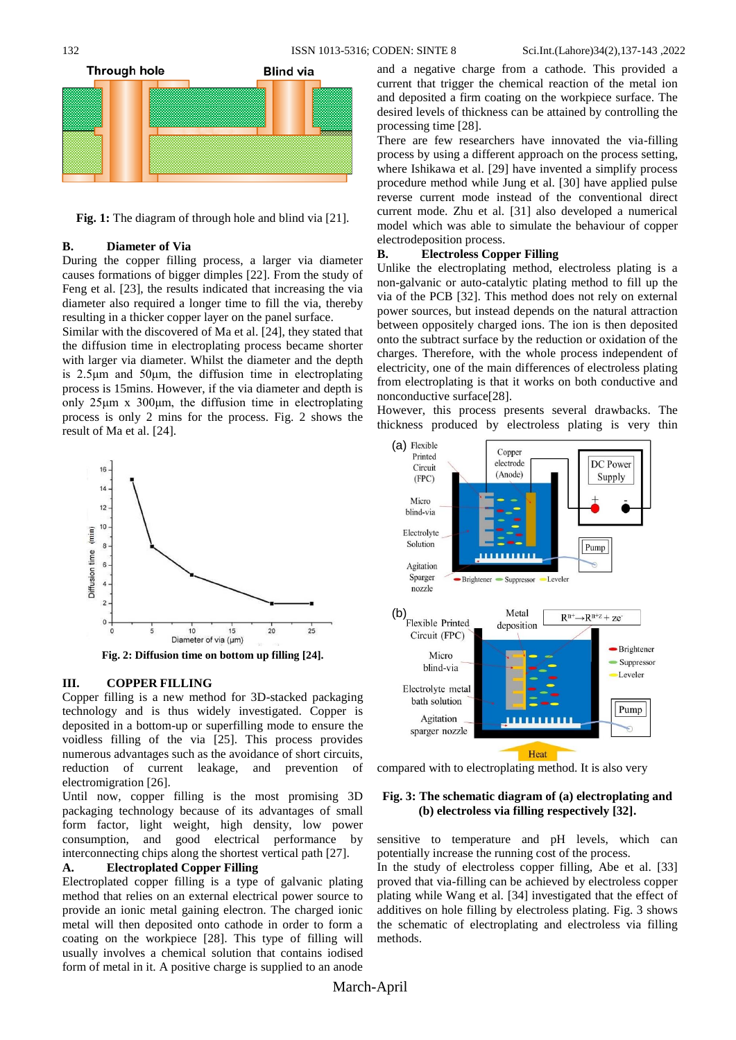

**Fig. 1:** The diagram of through hole and blind via [21].

#### **B. Diameter of Via**

During the copper filling process, a larger via diameter causes formations of bigger dimples [22]. From the study of Feng et al. [23], the results indicated that increasing the via diameter also required a longer time to fill the via, thereby resulting in a thicker copper layer on the panel surface.

Similar with the discovered of Ma et al. [24], they stated that the diffusion time in electroplating process became shorter with larger via diameter. Whilst the diameter and the depth is 2.5μm and 50μm, the diffusion time in electroplating process is 15mins. However, if the via diameter and depth is only  $25\mu m \times 300\mu m$ , the diffusion time in electroplating process is only 2 mins for the process. Fig. 2 shows the result of Ma et al. [24].



**Fig. 2: Diffusion time on bottom up filling [24].**

#### **III. COPPER FILLING**

Copper filling is a new method for 3D-stacked packaging technology and is thus widely investigated. Copper is deposited in a bottom-up or superfilling mode to ensure the voidless filling of the via [25]. This process provides numerous advantages such as the avoidance of short circuits, reduction of current leakage, and prevention of electromigration [26].

Until now, copper filling is the most promising 3D packaging technology because of its advantages of small form factor, light weight, high density, low power consumption, and good electrical performance by interconnecting chips along the shortest vertical path [27].

# **A. Electroplated Copper Filling**

Electroplated copper filling is a type of galvanic plating method that relies on an external electrical power source to provide an ionic metal gaining electron. The charged ionic metal will then deposited onto cathode in order to form a coating on the workpiece [28]. This type of filling will usually involves a chemical solution that contains iodised form of metal in it. A positive charge is supplied to an anode

and a negative charge from a cathode. This provided a current that trigger the chemical reaction of the metal ion and deposited a firm coating on the workpiece surface. The desired levels of thickness can be attained by controlling the processing time [28].

There are few researchers have innovated the via-filling process by using a different approach on the process setting, where Ishikawa et al. [29] have invented a simplify process procedure method while Jung et al. [30] have applied pulse reverse current mode instead of the conventional direct current mode. Zhu et al. [31] also developed a numerical model which was able to simulate the behaviour of copper electrodeposition process.

#### **B. Electroless Copper Filling**

Unlike the electroplating method, electroless plating is a non-galvanic or auto-catalytic plating method to fill up the via of the PCB [32]. This method does not rely on external power sources, but instead depends on the natural attraction between oppositely charged ions. The ion is then deposited onto the subtract surface by the reduction or oxidation of the charges. Therefore, with the whole process independent of electricity, one of the main differences of electroless plating from electroplating is that it works on both conductive and nonconductive surface[28].

However, this process presents several drawbacks. The thickness produced by electroless plating is very thin



compared with to electroplating method. It is also very

# **Fig. 3: The schematic diagram of (a) electroplating and (b) electroless via filling respectively [32].**

sensitive to temperature and pH levels, which can potentially increase the running cost of the process.

In the study of electroless copper filling, Abe et al. [33] proved that via-filling can be achieved by electroless copper plating while Wang et al. [34] investigated that the effect of additives on hole filling by electroless plating. Fig. 3 shows the schematic of electroplating and electroless via filling methods.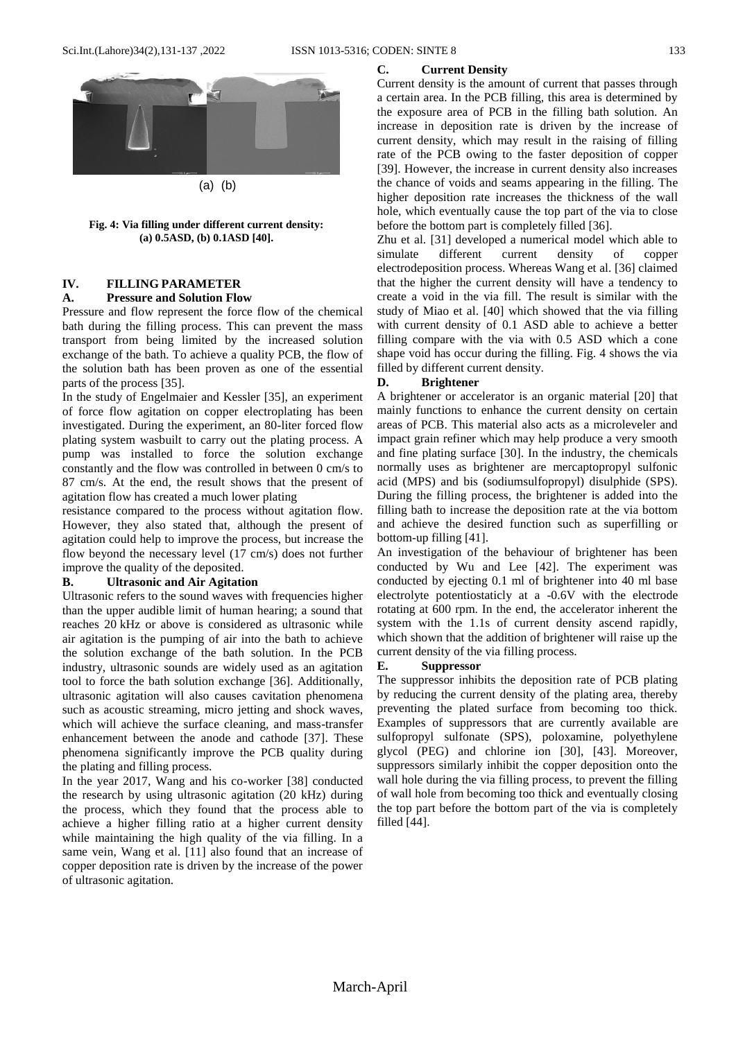

**Fig. 4: Via filling under different current density: (a) 0.5ASD, (b) 0.1ASD [40].**

# **IV. FILLING PARAMETER**

# **A. Pressure and Solution Flow**

Pressure and flow represent the force flow of the chemical bath during the filling process. This can prevent the mass transport from being limited by the increased solution exchange of the bath. To achieve a quality PCB, the flow of the solution bath has been proven as one of the essential parts of the process [35].

In the study of Engelmaier and Kessler [35], an experiment of force flow agitation on copper electroplating has been investigated. During the experiment, an 80-liter forced flow plating system wasbuilt to carry out the plating process. A pump was installed to force the solution exchange constantly and the flow was controlled in between 0 cm/s to 87 cm/s. At the end, the result shows that the present of agitation flow has created a much lower plating

resistance compared to the process without agitation flow. However, they also stated that, although the present of agitation could help to improve the process, but increase the flow beyond the necessary level (17 cm/s) does not further improve the quality of the deposited.

#### **B. Ultrasonic and Air Agitation**

Ultrasonic refers to the sound waves with frequencies higher than the upper audible limit of human hearing; a sound that reaches 20 kHz or above is considered as ultrasonic while air agitation is the pumping of air into the bath to achieve the solution exchange of the bath solution. In the PCB industry, ultrasonic sounds are widely used as an agitation tool to force the bath solution exchange [36]. Additionally, ultrasonic agitation will also causes cavitation phenomena such as acoustic streaming, micro jetting and shock waves, which will achieve the surface cleaning, and mass-transfer enhancement between the anode and cathode [37]. These phenomena significantly improve the PCB quality during the plating and filling process.

In the year 2017, Wang and his co-worker [38] conducted the research by using ultrasonic agitation (20 kHz) during the process, which they found that the process able to achieve a higher filling ratio at a higher current density while maintaining the high quality of the via filling. In a same vein, Wang et al. [11] also found that an increase of copper deposition rate is driven by the increase of the power of ultrasonic agitation.

#### **C. Current Density**

Current density is the amount of current that passes through a certain area. In the PCB filling, this area is determined by the exposure area of PCB in the filling bath solution. An increase in deposition rate is driven by the increase of current density, which may result in the raising of filling rate of the PCB owing to the faster deposition of copper [39]. However, the increase in current density also increases the chance of voids and seams appearing in the filling. The higher deposition rate increases the thickness of the wall hole, which eventually cause the top part of the via to close before the bottom part is completely filled [36].

Zhu et al. [31] developed a numerical model which able to simulate different current density of copper electrodeposition process. Whereas Wang et al. [36] claimed that the higher the current density will have a tendency to create a void in the via fill. The result is similar with the study of Miao et al. [40] which showed that the via filling with current density of 0.1 ASD able to achieve a better filling compare with the via with 0.5 ASD which a cone shape void has occur during the filling. Fig. 4 shows the via filled by different current density.

#### **D. Brightener**

A brightener or accelerator is an organic material [20] that mainly functions to enhance the current density on certain areas of PCB. This material also acts as a microleveler and impact grain refiner which may help produce a very smooth and fine plating surface [30]. In the industry, the chemicals normally uses as brightener are mercaptopropyl sulfonic acid (MPS) and bis (sodiumsulfopropyl) disulphide (SPS). During the filling process, the brightener is added into the filling bath to increase the deposition rate at the via bottom and achieve the desired function such as superfilling or bottom-up filling [41].

An investigation of the behaviour of brightener has been conducted by Wu and Lee [42]. The experiment was conducted by ejecting 0.1 ml of brightener into 40 ml base electrolyte potentiostaticly at a -0.6V with the electrode rotating at 600 rpm. In the end, the accelerator inherent the system with the 1.1s of current density ascend rapidly, which shown that the addition of brightener will raise up the current density of the via filling process.

#### **E. Suppressor**

The suppressor inhibits the deposition rate of PCB plating by reducing the current density of the plating area, thereby preventing the plated surface from becoming too thick. Examples of suppressors that are currently available are sulfopropyl sulfonate (SPS), poloxamine, polyethylene glycol (PEG) and chlorine ion [30], [43]. Moreover, suppressors similarly inhibit the copper deposition onto the wall hole during the via filling process, to prevent the filling of wall hole from becoming too thick and eventually closing the top part before the bottom part of the via is completely filled [44].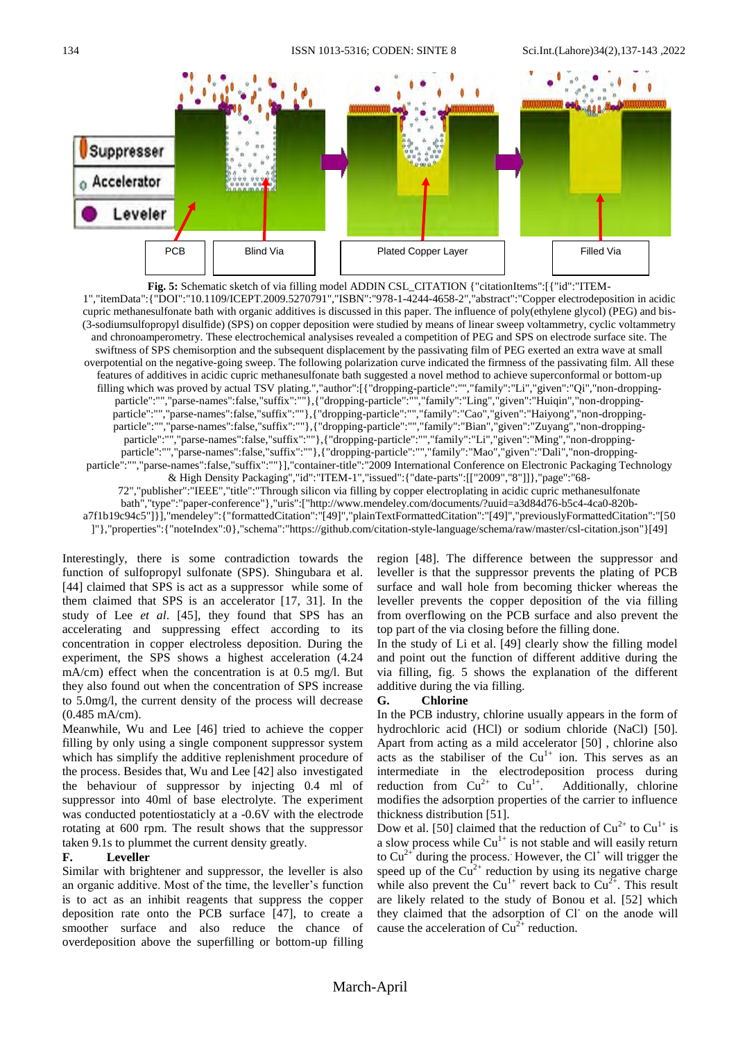

**Fig. 5:** Schematic sketch of via filling model ADDIN CSL\_CITATION {"citationItems":[{"id":"ITEM-1","itemData":{"DOI":"10.1109/ICEPT.2009.5270791","ISBN":"978-1-4244-4658-2","abstract":"Copper electrodeposition in acidic cupric methanesulfonate bath with organic additives is discussed in this paper. The influence of poly(ethylene glycol) (PEG) and bis- (3-sodiumsulfopropyl disulfide) (SPS) on copper deposition were studied by means of linear sweep voltammetry, cyclic voltammetry and chronoamperometry. These electrochemical analysises revealed a competition of PEG and SPS on electrode surface site. The swiftness of SPS chemisorption and the subsequent displacement by the passivating film of PEG exerted an extra wave at small overpotential on the negative-going sweep. The following polarization curve indicated the firmness of the passivating film. All these features of additives in acidic cupric methanesulfonate bath suggested a novel method to achieve superconformal or bottom-up filling which was proved by actual TSV plating.","author":[{"dropping-particle":"","family":"Li","given":"Qi","non-droppingparticle":"","parse-names":false,"suffix":""},{"dropping-particle":"","family":"Ling","given":"Huiqin","non-droppingparticle":"","parse-names":false,"suffix":""},{"dropping-particle":"","family":"Cao","given":"Haiyong","non-droppingparticle":"","parse-names":false,"suffix":""},{"dropping-particle":"","family":"Bian","given":"Zuyang","non-droppingparticle":"","parse-names":false,"suffix":""},{"dropping-particle":"","family":"Li","given":"Ming","non-droppingparticle":"","parse-names":false,"suffix":""},{"dropping-particle":"","family":"Mao","given":"Dali","non-droppingparticle":"","parse-names":false,"suffix":""}],"container-title":"2009 International Conference on Electronic Packaging Technology & High Density Packaging","id":"ITEM-1","issued":{"date-parts":[["2009","8"]]},"page":"68- 72","publisher":"IEEE","title":"Through silicon via filling by copper electroplating in acidic cupric methanesulfonate bath","type":"paper-conference"},"uris":["http://www.mendeley.com/documents/?uuid=a3d84d76-b5c4-4ca0-820ba7f1b19c94c5"]}],"mendeley":{"formattedCitation":"[49]","plainTextFormattedCitation":"[49]","previouslyFormattedCitation":"[50 ]"},"properties":{"noteIndex":0},"schema":"https://github.com/citation-style-language/schema/raw/master/csl-citation.json"}[49]

Interestingly, there is some contradiction towards the function of sulfopropyl sulfonate (SPS). Shingubara et al. [44] claimed that SPS is act as a suppressor while some of them claimed that SPS is an accelerator [17, 31]. In the study of Lee *et al*. [45], they found that SPS has an accelerating and suppressing effect according to its concentration in copper electroless deposition. During the experiment, the SPS shows a highest acceleration (4.24 mA/cm) effect when the concentration is at 0.5 mg/l. But they also found out when the concentration of SPS increase to 5.0mg/l, the current density of the process will decrease (0.485 mA/cm).

Meanwhile, Wu and Lee [46] tried to achieve the copper filling by only using a single component suppressor system which has simplify the additive replenishment procedure of the process. Besides that, Wu and Lee [42] also investigated the behaviour of suppressor by injecting 0.4 ml of suppressor into 40ml of base electrolyte. The experiment was conducted potentiostaticly at a -0.6V with the electrode rotating at 600 rpm. The result shows that the suppressor taken 9.1s to plummet the current density greatly.

#### **F. Leveller**

Similar with brightener and suppressor, the leveller is also an organic additive. Most of the time, the leveller"s function is to act as an inhibit reagents that suppress the copper deposition rate onto the PCB surface [47], to create a smoother surface and also reduce the chance of overdeposition above the superfilling or bottom-up filling

region [48]. The difference between the suppressor and leveller is that the suppressor prevents the plating of PCB surface and wall hole from becoming thicker whereas the leveller prevents the copper deposition of the via filling from overflowing on the PCB surface and also prevent the top part of the via closing before the filling done.

In the study of Li et al. [49] clearly show the filling model and point out the function of different additive during the via filling, fig. 5 shows the explanation of the different additive during the via filling.

#### **G. Chlorine**

In the PCB industry, chlorine usually appears in the form of hydrochloric acid (HCl) or sodium chloride (NaCl) [50]. Apart from acting as a mild accelerator [50] , chlorine also acts as the stabiliser of the  $Cu<sup>1+</sup>$  ion. This serves as an intermediate in the electrodeposition process during reduction from  $Cu^{2+}$  to  $Cu^{1+}$ . Additionally, chlorine modifies the adsorption properties of the carrier to influence thickness distribution [51].

Dow et al. [50] claimed that the reduction of  $Cu^{2+}$  to  $Cu^{1+}$  is a slow process while  $Cu^{1+}$  is not stable and will easily return to  $Cu^{2+}$  during the process. However, the  $Cl<sup>+</sup>$  will trigger the speed up of the  $Cu^{2+}$  reduction by using its negative charge while also prevent the Cu<sup>1+</sup> revert back to Cu<sup>2+</sup>. This result are likely related to the study of Bonou et al. [52] which they claimed that the adsorption of Cl on the anode will cause the acceleration of  $Cu^{2+}$  reduction.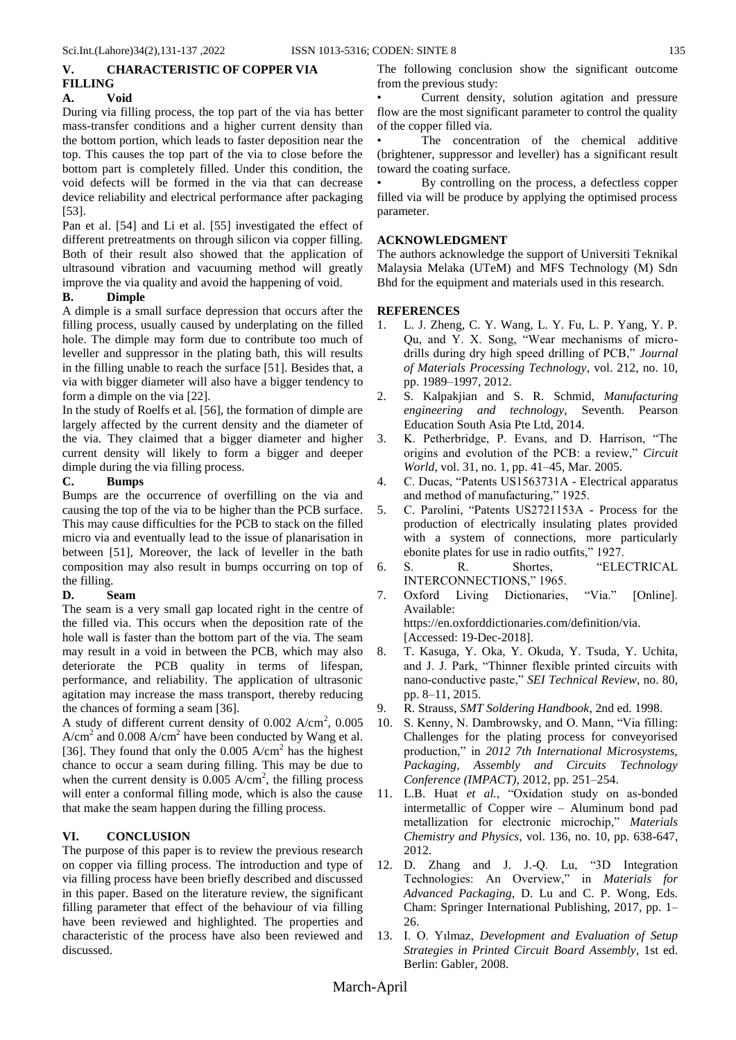# **V. CHARACTERISTIC OF COPPER VIA FILLING**

# **A. Void**

During via filling process, the top part of the via has better mass-transfer conditions and a higher current density than the bottom portion, which leads to faster deposition near the top. This causes the top part of the via to close before the bottom part is completely filled. Under this condition, the void defects will be formed in the via that can decrease device reliability and electrical performance after packaging [53].

Pan et al. [54] and Li et al. [55] investigated the effect of different pretreatments on through silicon via copper filling. Both of their result also showed that the application of ultrasound vibration and vacuuming method will greatly improve the via quality and avoid the happening of void.

#### **B. Dimple**

A dimple is a small surface depression that occurs after the filling process, usually caused by underplating on the filled hole. The dimple may form due to contribute too much of leveller and suppressor in the plating bath, this will results in the filling unable to reach the surface [51]. Besides that, a via with bigger diameter will also have a bigger tendency to form a dimple on the via [22].

In the study of Roelfs et al. [56], the formation of dimple are largely affected by the current density and the diameter of the via. They claimed that a bigger diameter and higher current density will likely to form a bigger and deeper dimple during the via filling process.

#### **C. Bumps**

Bumps are the occurrence of overfilling on the via and causing the top of the via to be higher than the PCB surface. This may cause difficulties for the PCB to stack on the filled micro via and eventually lead to the issue of planarisation in between [51], Moreover, the lack of leveller in the bath composition may also result in bumps occurring on top of the filling.

#### **D. Seam**

The seam is a very small gap located right in the centre of the filled via. This occurs when the deposition rate of the hole wall is faster than the bottom part of the via. The seam may result in a void in between the PCB, which may also deteriorate the PCB quality in terms of lifespan, performance, and reliability. The application of ultrasonic agitation may increase the mass transport, thereby reducing the chances of forming a seam [36].

A study of different current density of  $0.002$  A/cm<sup>2</sup>,  $0.005$  $A/cm<sup>2</sup>$  and 0.008  $A/cm<sup>2</sup>$  have been conducted by Wang et al. [36]. They found that only the  $0.005$  A/cm<sup>2</sup> has the highest chance to occur a seam during filling. This may be due to when the current density is  $0.005$  A/cm<sup>2</sup>, the filling process will enter a conformal filling mode, which is also the cause that make the seam happen during the filling process.

# **VI. CONCLUSION**

The purpose of this paper is to review the previous research on copper via filling process. The introduction and type of via filling process have been briefly described and discussed in this paper. Based on the literature review, the significant filling parameter that effect of the behaviour of via filling have been reviewed and highlighted. The properties and characteristic of the process have also been reviewed and discussed.

The following conclusion show the significant outcome from the previous study:

Current density, solution agitation and pressure flow are the most significant parameter to control the quality of the copper filled via.

The concentration of the chemical additive (brightener, suppressor and leveller) has a significant result toward the coating surface.

• By controlling on the process, a defectless copper filled via will be produce by applying the optimised process parameter.

# **ACKNOWLEDGMENT**

The authors acknowledge the support of Universiti Teknikal Malaysia Melaka (UTeM) and MFS Technology (M) Sdn Bhd for the equipment and materials used in this research.

#### **REFERENCES**

- 1. L. J. Zheng, C. Y. Wang, L. Y. Fu, L. P. Yang, Y. P. Qu, and Y. X. Song, "Wear mechanisms of microdrills during dry high speed drilling of PCB," *Journal of Materials Processing Technology*, vol. 212, no. 10, pp. 1989–1997, 2012.
- 2. S. Kalpakjian and S. R. Schmid, *Manufacturing engineering and technology*, Seventh. Pearson Education South Asia Pte Ltd, 2014.
- 3. K. Petherbridge, P. Evans, and D. Harrison, "The origins and evolution of the PCB: a review," *Circuit World*, vol. 31, no. 1, pp. 41–45, Mar. 2005.
- 4. C. Ducas, "Patents US1563731A Electrical apparatus and method of manufacturing," 1925.
- 5. C. Parolini, "Patents US2721153A Process for the production of electrically insulating plates provided with a system of connections, more particularly ebonite plates for use in radio outfits," 1927.
- 6. S. R. Shortes, "ELECTRICAL INTERCONNECTIONS," 1965.
- 7. Oxford Living Dictionaries, "Via." [Online]. Available: https://en.oxforddictionaries.com/definition/via. [Accessed: 19-Dec-2018].
- 8. T. Kasuga, Y. Oka, Y. Okuda, Y. Tsuda, Y. Uchita, and J. J. Park, "Thinner flexible printed circuits with nano-conductive paste," *SEI Technical Review*, no. 80, pp. 8–11, 2015.
- 9. R. Strauss, *SMT Soldering Handbook*, 2nd ed. 1998.
- 10. S. Kenny, N. Dambrowsky, and O. Mann, "Via filling: Challenges for the plating process for conveyorised production," in *2012 7th International Microsystems, Packaging, Assembly and Circuits Technology Conference (IMPACT)*, 2012, pp. 251–254.
- 11. L.B. Huat *et al.*, "Oxidation study on as-bonded intermetallic of Copper wire – Aluminum bond pad metallization for electronic microchip," *Materials Chemistry and Physics*, vol. 136, no. 10, pp. 638-647, 2012.
- 12. D. Zhang and J. J.-Q. Lu, "3D Integration Technologies: An Overview," in *Materials for Advanced Packaging*, D. Lu and C. P. Wong, Eds. Cham: Springer International Publishing, 2017, pp. 1– 26.
- 13. I. O. Yılmaz, *Development and Evaluation of Setup Strategies in Printed Circuit Board Assembly*, 1st ed. Berlin: Gabler, 2008.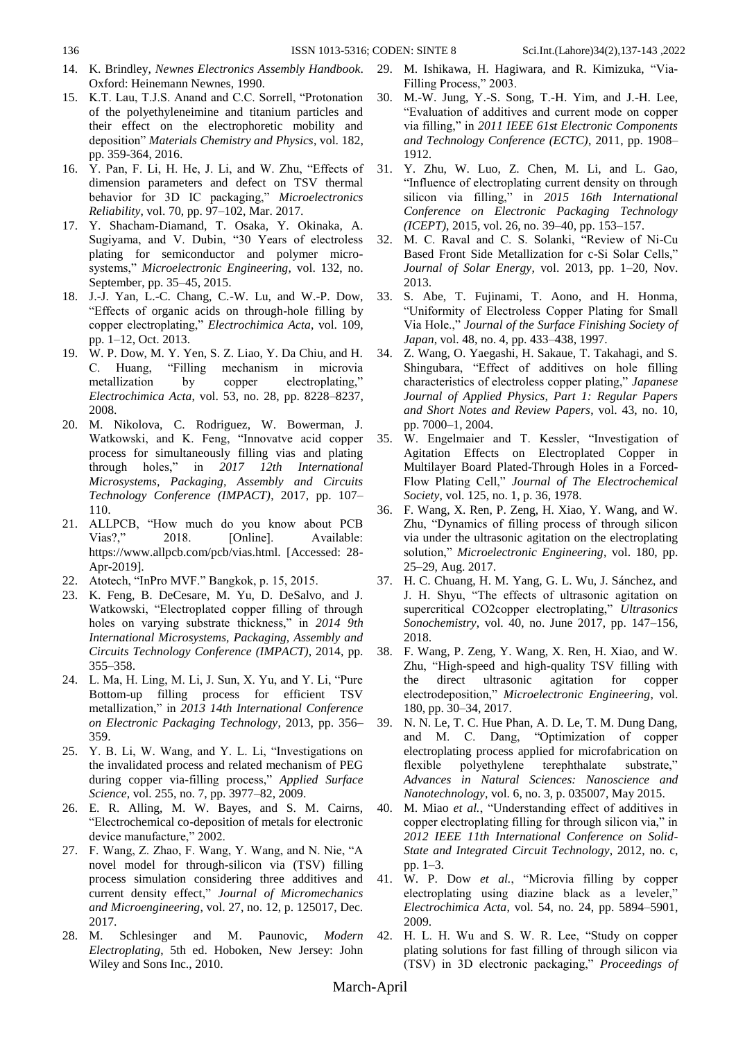- 14. K. Brindley, *Newnes Electronics Assembly Handbook*. Oxford: Heinemann Newnes, 1990.
- 15. K.T. Lau, T.J.S. Anand and C.C. Sorrell, "Protonation of the polyethyleneimine and titanium particles and their effect on the electrophoretic mobility and deposition" *Materials Chemistry and Physics*, vol. 182, pp. 359-364, 2016.
- 16. Y. Pan, F. Li, H. He, J. Li, and W. Zhu, "Effects of dimension parameters and defect on TSV thermal behavior for 3D IC packaging," *Microelectronics Reliability*, vol. 70, pp. 97–102, Mar. 2017.
- 17. Y. Shacham-Diamand, T. Osaka, Y. Okinaka, A. Sugiyama, and V. Dubin, "30 Years of electroless plating for semiconductor and polymer microsystems," *Microelectronic Engineering*, vol. 132, no. September, pp. 35–45, 2015.
- 18. J.-J. Yan, L.-C. Chang, C.-W. Lu, and W.-P. Dow, "Effects of organic acids on through-hole filling by copper electroplating," *Electrochimica Acta*, vol. 109, pp. 1–12, Oct. 2013.
- 19. W. P. Dow, M. Y. Yen, S. Z. Liao, Y. Da Chiu, and H. C. Huang, "Filling mechanism in microvia metallization by copper electroplating," *Electrochimica Acta*, vol. 53, no. 28, pp. 8228–8237, 2008.
- 20. M. Nikolova, C. Rodriguez, W. Bowerman, J. Watkowski, and K. Feng, "Innovatve acid copper process for simultaneously filling vias and plating through holes," in *2017 12th International Microsystems, Packaging, Assembly and Circuits Technology Conference (IMPACT)*, 2017, pp. 107– 110.
- 21. ALLPCB, "How much do you know about PCB Vias?." 2018. [Online]. Available: https://www.allpcb.com/pcb/vias.html. [Accessed: 28- Apr-2019].
- 22. Atotech, "InPro MVF." Bangkok, p. 15, 2015.
- 23. K. Feng, B. DeCesare, M. Yu, D. DeSalvo, and J. Watkowski, "Electroplated copper filling of through holes on varying substrate thickness," in *2014 9th International Microsystems, Packaging, Assembly and Circuits Technology Conference (IMPACT)*, 2014, pp. 355–358.
- 24. L. Ma, H. Ling, M. Li, J. Sun, X. Yu, and Y. Li, "Pure Bottom-up filling process for efficient TSV metallization," in *2013 14th International Conference on Electronic Packaging Technology*, 2013, pp. 356– 359.
- 25. Y. B. Li, W. Wang, and Y. L. Li, "Investigations on the invalidated process and related mechanism of PEG during copper via-filling process," *Applied Surface Science*, vol. 255, no. 7, pp. 3977–82, 2009.
- 26. E. R. Alling, M. W. Bayes, and S. M. Cairns, "Electrochemical co-deposition of metals for electronic device manufacture," 2002.
- 27. F. Wang, Z. Zhao, F. Wang, Y. Wang, and N. Nie, "A novel model for through-silicon via (TSV) filling process simulation considering three additives and current density effect," *Journal of Micromechanics and Microengineering*, vol. 27, no. 12, p. 125017, Dec. 2017.
- 28. M. Schlesinger and M. Paunovic, *Modern Electroplating*, 5th ed. Hoboken, New Jersey: John Wiley and Sons Inc., 2010.
- 29. M. Ishikawa, H. Hagiwara, and R. Kimizuka, "Via-Filling Process," 2003.
- 30. M.-W. Jung, Y.-S. Song, T.-H. Yim, and J.-H. Lee, "Evaluation of additives and current mode on copper via filling," in *2011 IEEE 61st Electronic Components and Technology Conference (ECTC)*, 2011, pp. 1908– 1912.
- 31. Y. Zhu, W. Luo, Z. Chen, M. Li, and L. Gao, "Influence of electroplating current density on through silicon via filling," in *2015 16th International Conference on Electronic Packaging Technology (ICEPT)*, 2015, vol. 26, no. 39–40, pp. 153–157.
- 32. M. C. Raval and C. S. Solanki, "Review of Ni-Cu Based Front Side Metallization for c-Si Solar Cells," *Journal of Solar Energy*, vol. 2013, pp. 1–20, Nov. 2013.
- 33. S. Abe, T. Fujinami, T. Aono, and H. Honma, "Uniformity of Electroless Copper Plating for Small Via Hole.," *Journal of the Surface Finishing Society of Japan*, vol. 48, no. 4, pp. 433–438, 1997.
- 34. Z. Wang, O. Yaegashi, H. Sakaue, T. Takahagi, and S. Shingubara, "Effect of additives on hole filling characteristics of electroless copper plating," *Japanese Journal of Applied Physics, Part 1: Regular Papers and Short Notes and Review Papers*, vol. 43, no. 10, pp. 7000–1, 2004.
- 35. W. Engelmaier and T. Kessler, "Investigation of Agitation Effects on Electroplated Copper in Multilayer Board Plated-Through Holes in a Forced-Flow Plating Cell," *Journal of The Electrochemical Society*, vol. 125, no. 1, p. 36, 1978.
- 36. F. Wang, X. Ren, P. Zeng, H. Xiao, Y. Wang, and W. Zhu, "Dynamics of filling process of through silicon via under the ultrasonic agitation on the electroplating solution," *Microelectronic Engineering*, vol. 180, pp. 25–29, Aug. 2017.
- 37. H. C. Chuang, H. M. Yang, G. L. Wu, J. Sánchez, and J. H. Shyu, "The effects of ultrasonic agitation on supercritical CO2copper electroplating," *Ultrasonics Sonochemistry*, vol. 40, no. June 2017, pp. 147–156, 2018.
- 38. F. Wang, P. Zeng, Y. Wang, X. Ren, H. Xiao, and W. Zhu, "High-speed and high-quality TSV filling with the direct ultrasonic agitation for copper electrodeposition," *Microelectronic Engineering*, vol. 180, pp. 30–34, 2017.
- 39. N. N. Le, T. C. Hue Phan, A. D. Le, T. M. Dung Dang, and M. C. Dang, "Optimization of copper electroplating process applied for microfabrication on flexible polyethylene terephthalate substrate," *Advances in Natural Sciences: Nanoscience and Nanotechnology*, vol. 6, no. 3, p. 035007, May 2015.
- 40. M. Miao *et al.*, "Understanding effect of additives in copper electroplating filling for through silicon via," in *2012 IEEE 11th International Conference on Solid-State and Integrated Circuit Technology*, 2012, no. c, pp. 1–3.
- 41. W. P. Dow *et al.*, "Microvia filling by copper electroplating using diazine black as a leveler," *Electrochimica Acta*, vol. 54, no. 24, pp. 5894–5901, 2009.
- 42. H. L. H. Wu and S. W. R. Lee, "Study on copper plating solutions for fast filling of through silicon via (TSV) in 3D electronic packaging," *Proceedings of*